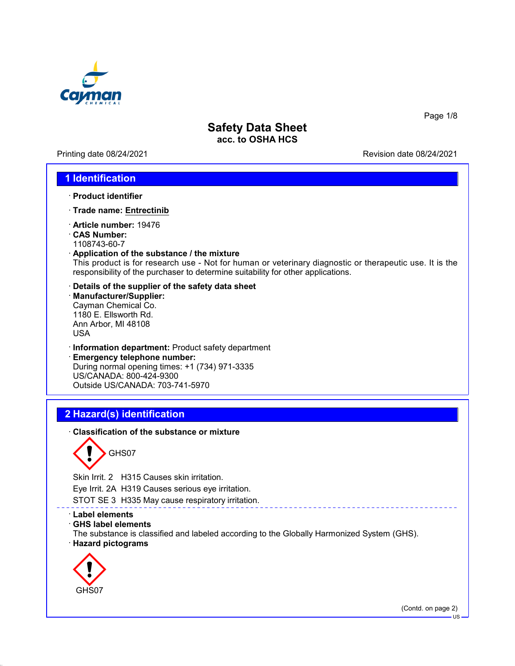

Printing date 08/24/2021 Revision date 08/24/2021

Page 1/8

### **1 Identification**

- · **Product identifier**
- · **Trade name: Entrectinib**
- · **Article number:** 19476
- · **CAS Number:**
- 1108743-60-7
- · **Application of the substance / the mixture**

This product is for research use - Not for human or veterinary diagnostic or therapeutic use. It is the responsibility of the purchaser to determine suitability for other applications.

- · **Details of the supplier of the safety data sheet**
- · **Manufacturer/Supplier:** Cayman Chemical Co. 1180 E. Ellsworth Rd. Ann Arbor, MI 48108 USA
- · **Information department:** Product safety department
- · **Emergency telephone number:** During normal opening times: +1 (734) 971-3335 US/CANADA: 800-424-9300 Outside US/CANADA: 703-741-5970

# **2 Hazard(s) identification**

· **Classification of the substance or mixture**

GHS07

Skin Irrit. 2 H315 Causes skin irritation.

Eye Irrit. 2A H319 Causes serious eye irritation.

STOT SE 3 H335 May cause respiratory irritation.

- · **Label elements**
- · **GHS label elements**

The substance is classified and labeled according to the Globally Harmonized System (GHS). · **Hazard pictograms**



(Contd. on page 2)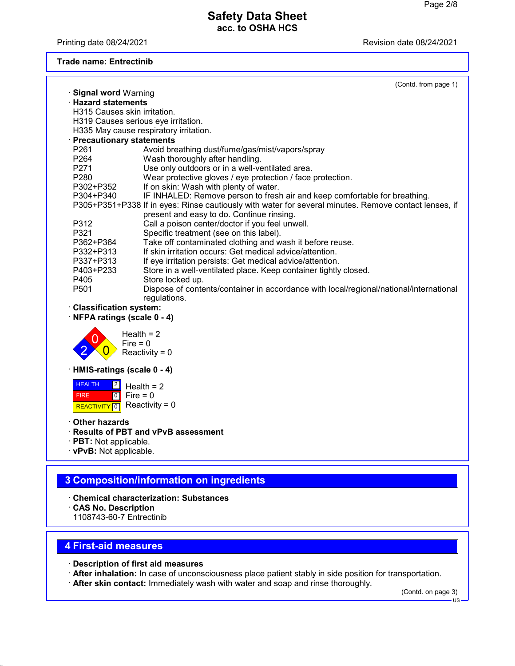Printing date 08/24/2021 **Printing date 08/24/2021** 

#### **Trade name: Entrectinib**

|                                 | (Contd. from page 1)                                                                                  |
|---------------------------------|-------------------------------------------------------------------------------------------------------|
| · Signal word Warning           |                                                                                                       |
| <b>Hazard statements</b>        |                                                                                                       |
| H315 Causes skin irritation.    |                                                                                                       |
|                                 | H319 Causes serious eye irritation.                                                                   |
|                                 | H335 May cause respiratory irritation.                                                                |
| · Precautionary statements      |                                                                                                       |
| P261                            | Avoid breathing dust/fume/gas/mist/vapors/spray                                                       |
| P <sub>264</sub>                | Wash thoroughly after handling.                                                                       |
| P271                            | Use only outdoors or in a well-ventilated area.                                                       |
| P280                            | Wear protective gloves / eye protection / face protection.                                            |
| P302+P352                       | If on skin: Wash with plenty of water.                                                                |
| P304+P340                       | IF INHALED: Remove person to fresh air and keep comfortable for breathing.                            |
|                                 | P305+P351+P338 If in eyes: Rinse cautiously with water for several minutes. Remove contact lenses, if |
|                                 | present and easy to do. Continue rinsing.                                                             |
| P312                            | Call a poison center/doctor if you feel unwell.                                                       |
| P321                            | Specific treatment (see on this label).                                                               |
| P362+P364                       | Take off contaminated clothing and wash it before reuse.                                              |
| P332+P313                       | If skin irritation occurs: Get medical advice/attention.                                              |
|                                 | If eye irritation persists: Get medical advice/attention.                                             |
| P337+P313                       |                                                                                                       |
| P403+P233                       | Store in a well-ventilated place. Keep container tightly closed.                                      |
| P405                            | Store locked up.                                                                                      |
| P501                            | Dispose of contents/container in accordance with local/regional/national/international                |
|                                 | regulations.                                                                                          |
| · Classification system:        |                                                                                                       |
| NFPA ratings (scale 0 - 4)      |                                                                                                       |
|                                 |                                                                                                       |
|                                 | Health $= 2$                                                                                          |
|                                 | $Fire = 0$                                                                                            |
|                                 | Reactivity = $0$                                                                                      |
|                                 |                                                                                                       |
| · HMIS-ratings (scale 0 - 4)    |                                                                                                       |
| <b>HEALTH</b><br>$\overline{2}$ | Health $= 2$                                                                                          |
| $\overline{10}$<br><b>FIRE</b>  | Fire $= 0$                                                                                            |
|                                 | Reactivity = $0$                                                                                      |
| <b>REACTIVITY</b><br>$\sqrt{0}$ |                                                                                                       |
| ∙ Other hazards                 |                                                                                                       |
|                                 | <b>Results of PBT and vPvB assessment</b>                                                             |
|                                 |                                                                                                       |
| · <b>PBT:</b> Not applicable.   |                                                                                                       |
| $\cdot$ vPvB: Not applicable.   |                                                                                                       |
|                                 |                                                                                                       |
|                                 | 3 Composition/information on ingredients                                                              |
|                                 |                                                                                                       |
|                                 | <b>Chemical characterization: Substances</b>                                                          |
| <b>CAS No. Description</b>      |                                                                                                       |
| 1108743-60-7 Entrectinib        |                                                                                                       |
|                                 |                                                                                                       |
|                                 |                                                                                                       |
| <b>4 First-aid measures</b>     |                                                                                                       |
|                                 |                                                                                                       |

- · **Description of first aid measures**
- · **After inhalation:** In case of unconsciousness place patient stably in side position for transportation.
- · **After skin contact:** Immediately wash with water and soap and rinse thoroughly.

(Contd. on page 3)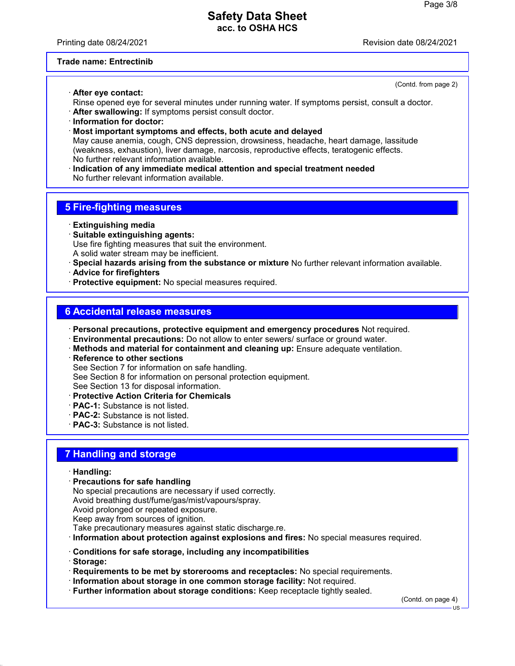Printing date 08/24/2021 Revision date 08/24/2021

#### **Trade name: Entrectinib**

· **After eye contact:**

(Contd. from page 2)

- Rinse opened eye for several minutes under running water. If symptoms persist, consult a doctor.
- · **After swallowing:** If symptoms persist consult doctor.
- · **Information for doctor:**
- · **Most important symptoms and effects, both acute and delayed**

May cause anemia, cough, CNS depression, drowsiness, headache, heart damage, lassitude (weakness, exhaustion), liver damage, narcosis, reproductive effects, teratogenic effects. No further relevant information available.

· **Indication of any immediate medical attention and special treatment needed** No further relevant information available.

### **5 Fire-fighting measures**

- · **Extinguishing media**
- · **Suitable extinguishing agents:** Use fire fighting measures that suit the environment. A solid water stream may be inefficient.
- · **Special hazards arising from the substance or mixture** No further relevant information available.
- · **Advice for firefighters**
- · **Protective equipment:** No special measures required.

#### **6 Accidental release measures**

- · **Personal precautions, protective equipment and emergency procedures** Not required.
- · **Environmental precautions:** Do not allow to enter sewers/ surface or ground water.
- · **Methods and material for containment and cleaning up:** Ensure adequate ventilation.
- · **Reference to other sections**

See Section 7 for information on safe handling.

See Section 8 for information on personal protection equipment.

See Section 13 for disposal information.

- · **Protective Action Criteria for Chemicals**
- · **PAC-1:** Substance is not listed.
- · **PAC-2:** Substance is not listed.
- · **PAC-3:** Substance is not listed.

## **7 Handling and storage**

#### · **Handling:**

· **Precautions for safe handling**

No special precautions are necessary if used correctly. Avoid breathing dust/fume/gas/mist/vapours/spray. Avoid prolonged or repeated exposure.

Keep away from sources of ignition.

Take precautionary measures against static discharge.re.

- · **Information about protection against explosions and fires:** No special measures required.
- · **Conditions for safe storage, including any incompatibilities**
- · **Storage:**
- · **Requirements to be met by storerooms and receptacles:** No special requirements.
- · **Information about storage in one common storage facility:** Not required.
- · **Further information about storage conditions:** Keep receptacle tightly sealed.

(Contd. on page 4)

 $H<sub>S</sub>$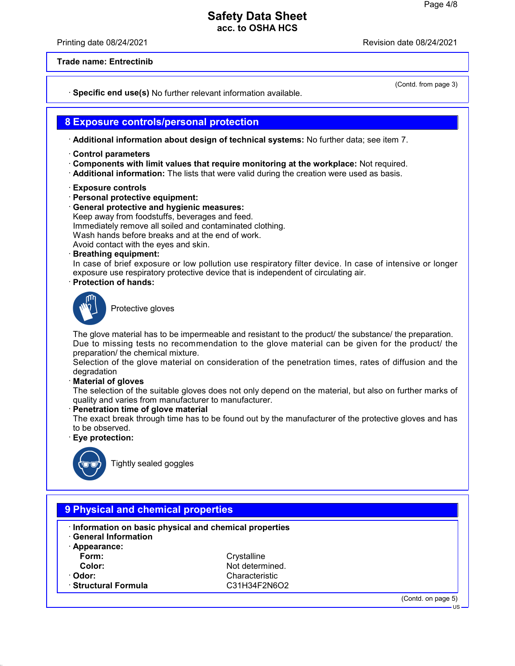Printing date 08/24/2021 **Printing date 08/24/2021** 

(Contd. from page 3)

**Trade name: Entrectinib**

· **Specific end use(s)** No further relevant information available.

### **8 Exposure controls/personal protection**

· **Additional information about design of technical systems:** No further data; see item 7.

- · **Control parameters**
- · **Components with limit values that require monitoring at the workplace:** Not required.
- · **Additional information:** The lists that were valid during the creation were used as basis.
- · **Exposure controls**
- · **Personal protective equipment:**
- · **General protective and hygienic measures:** Keep away from foodstuffs, beverages and feed.

Immediately remove all soiled and contaminated clothing.

Wash hands before breaks and at the end of work.

Avoid contact with the eyes and skin.

· **Breathing equipment:**

In case of brief exposure or low pollution use respiratory filter device. In case of intensive or longer exposure use respiratory protective device that is independent of circulating air.

· **Protection of hands:**



Protective gloves

The glove material has to be impermeable and resistant to the product/ the substance/ the preparation. Due to missing tests no recommendation to the glove material can be given for the product/ the preparation/ the chemical mixture.

Selection of the glove material on consideration of the penetration times, rates of diffusion and the degradation

· **Material of gloves**

The selection of the suitable gloves does not only depend on the material, but also on further marks of quality and varies from manufacturer to manufacturer.

· **Penetration time of glove material**

The exact break through time has to be found out by the manufacturer of the protective gloves and has to be observed.

· **Eye protection:**



Tightly sealed goggles

| · Information on basic physical and chemical properties<br><b>General Information</b> |                 |  |  |  |
|---------------------------------------------------------------------------------------|-----------------|--|--|--|
| Appearance:                                                                           |                 |  |  |  |
| Form:                                                                                 | Crystalline     |  |  |  |
| Color:                                                                                | Not determined. |  |  |  |
| · Odor:                                                                               | Characteristic  |  |  |  |
| · Structural Formula                                                                  | C31H34F2N6O2    |  |  |  |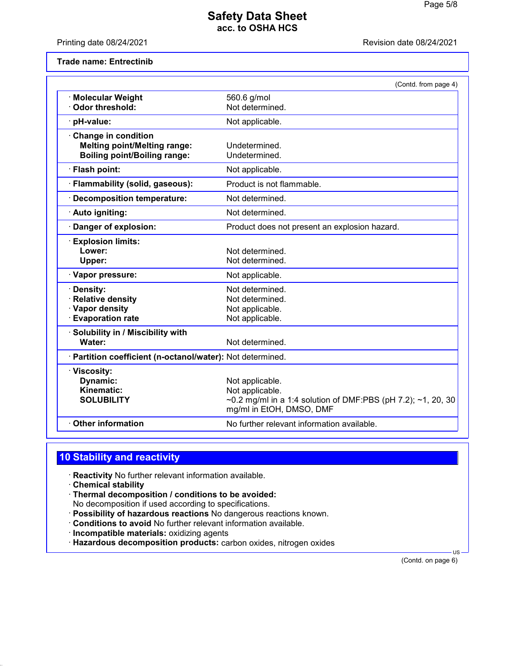Printing date 08/24/2021 **Printing date 08/24/2021** 

**Trade name: Entrectinib**

|                                                                                                          | (Contd. from page 4)                                                                                                           |
|----------------------------------------------------------------------------------------------------------|--------------------------------------------------------------------------------------------------------------------------------|
| · Molecular Weight<br>Odor threshold:                                                                    | 560.6 g/mol<br>Not determined.                                                                                                 |
| pH-value:                                                                                                | Not applicable.                                                                                                                |
| <b>Change in condition</b><br><b>Melting point/Melting range:</b><br><b>Boiling point/Boiling range:</b> | Undetermined.<br>Undetermined.                                                                                                 |
| · Flash point:                                                                                           | Not applicable.                                                                                                                |
| · Flammability (solid, gaseous):                                                                         | Product is not flammable.                                                                                                      |
| <b>Decomposition temperature:</b>                                                                        | Not determined.                                                                                                                |
| · Auto igniting:                                                                                         | Not determined.                                                                                                                |
| Danger of explosion:                                                                                     | Product does not present an explosion hazard.                                                                                  |
| <b>Explosion limits:</b><br>Lower:<br>Upper:                                                             | Not determined.<br>Not determined.                                                                                             |
| Vapor pressure:                                                                                          | Not applicable.                                                                                                                |
| Density:<br><b>Relative density</b><br>· Vapor density<br><b>Evaporation rate</b>                        | Not determined.<br>Not determined.<br>Not applicable.<br>Not applicable.                                                       |
| Solubility in / Miscibility with<br>Water:                                                               | Not determined.                                                                                                                |
| · Partition coefficient (n-octanol/water): Not determined.                                               |                                                                                                                                |
| · Viscosity:<br>Dynamic:<br>Kinematic:<br><b>SOLUBILITY</b>                                              | Not applicable.<br>Not applicable.<br>~0.2 mg/ml in a 1:4 solution of DMF:PBS (pH 7.2); ~1, 20, 30<br>mg/ml in EtOH, DMSO, DMF |
| <b>Other information</b>                                                                                 | No further relevant information available.                                                                                     |
|                                                                                                          |                                                                                                                                |

# **10 Stability and reactivity**

· **Reactivity** No further relevant information available.

- · **Chemical stability**
- · **Thermal decomposition / conditions to be avoided:** No decomposition if used according to specifications.
- · **Possibility of hazardous reactions** No dangerous reactions known.
- · **Conditions to avoid** No further relevant information available.
- · **Incompatible materials:** oxidizing agents
- · **Hazardous decomposition products:** carbon oxides, nitrogen oxides

(Contd. on page 6)

US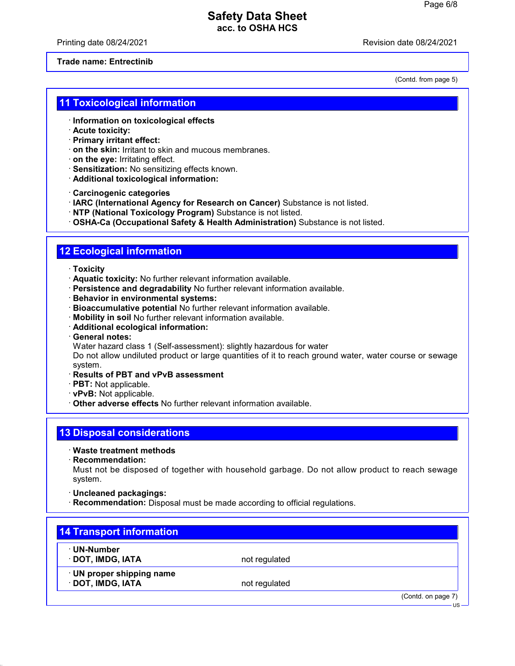Printing date 08/24/2021 Revision date 08/24/2021

#### **Trade name: Entrectinib**

(Contd. from page 5)

#### **11 Toxicological information**

- · **Information on toxicological effects**
- · **Acute toxicity:**
- · **Primary irritant effect:**
- · **on the skin:** Irritant to skin and mucous membranes.
- · **on the eye:** Irritating effect.
- · **Sensitization:** No sensitizing effects known.
- · **Additional toxicological information:**

· **Carcinogenic categories**

- · **IARC (International Agency for Research on Cancer)** Substance is not listed.
- · **NTP (National Toxicology Program)** Substance is not listed.

· **OSHA-Ca (Occupational Safety & Health Administration)** Substance is not listed.

# **12 Ecological information**

- · **Toxicity**
- · **Aquatic toxicity:** No further relevant information available.
- · **Persistence and degradability** No further relevant information available.
- · **Behavior in environmental systems:**
- · **Bioaccumulative potential** No further relevant information available.
- · **Mobility in soil** No further relevant information available.
- · **Additional ecological information:**
- · **General notes:**
- Water hazard class 1 (Self-assessment): slightly hazardous for water

Do not allow undiluted product or large quantities of it to reach ground water, water course or sewage system.

- · **Results of PBT and vPvB assessment**
- · **PBT:** Not applicable.
- · **vPvB:** Not applicable.
- · **Other adverse effects** No further relevant information available.

# **13 Disposal considerations**

- · **Waste treatment methods**
- · **Recommendation:**

Must not be disposed of together with household garbage. Do not allow product to reach sewage system.

- · **Uncleaned packagings:**
- · **Recommendation:** Disposal must be made according to official regulations.

| ∙ UN-Number               |               |  |
|---------------------------|---------------|--|
| · DOT, IMDG, IATA         | not regulated |  |
| · UN proper shipping name |               |  |
| · DOT, IMDG, IATA         | not regulated |  |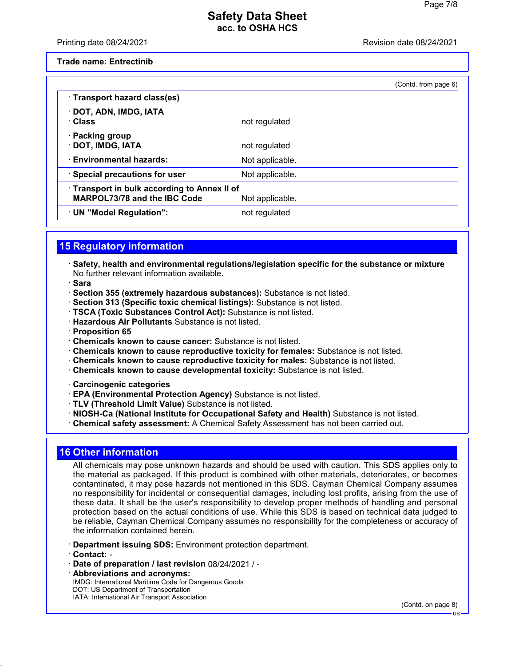#### Printing date 08/24/2021 Revision date 08/24/2021

**Trade name: Entrectinib**

|                                                                                   |                 | (Contd. from page 6) |
|-----------------------------------------------------------------------------------|-----------------|----------------------|
| · Transport hazard class(es)                                                      |                 |                      |
| · DOT, ADN, IMDG, IATA<br>· Class                                                 | not regulated   |                      |
| · Packing group<br>· DOT, IMDG, IATA                                              | not regulated   |                      |
| <b>Environmental hazards:</b>                                                     | Not applicable. |                      |
| · Special precautions for user                                                    | Not applicable. |                      |
| Transport in bulk according to Annex II of<br><b>MARPOL73/78 and the IBC Code</b> | Not applicable. |                      |
| · UN "Model Regulation":                                                          | not regulated   |                      |

## **15 Regulatory information**

- · **Safety, health and environmental regulations/legislation specific for the substance or mixture** No further relevant information available.
- · **Sara**
- · **Section 355 (extremely hazardous substances):** Substance is not listed.
- · **Section 313 (Specific toxic chemical listings):** Substance is not listed.
- · **TSCA (Toxic Substances Control Act):** Substance is not listed.
- · **Hazardous Air Pollutants** Substance is not listed.
- · **Proposition 65**
- · **Chemicals known to cause cancer:** Substance is not listed.
- · **Chemicals known to cause reproductive toxicity for females:** Substance is not listed.
- · **Chemicals known to cause reproductive toxicity for males:** Substance is not listed.
- · **Chemicals known to cause developmental toxicity:** Substance is not listed.
- · **Carcinogenic categories**
- · **EPA (Environmental Protection Agency)** Substance is not listed.
- · **TLV (Threshold Limit Value)** Substance is not listed.
- · **NIOSH-Ca (National Institute for Occupational Safety and Health)** Substance is not listed.
- · **Chemical safety assessment:** A Chemical Safety Assessment has not been carried out.

# **16 Other information**

All chemicals may pose unknown hazards and should be used with caution. This SDS applies only to the material as packaged. If this product is combined with other materials, deteriorates, or becomes contaminated, it may pose hazards not mentioned in this SDS. Cayman Chemical Company assumes no responsibility for incidental or consequential damages, including lost profits, arising from the use of these data. It shall be the user's responsibility to develop proper methods of handling and personal protection based on the actual conditions of use. While this SDS is based on technical data judged to be reliable, Cayman Chemical Company assumes no responsibility for the completeness or accuracy of the information contained herein.

- · **Department issuing SDS:** Environment protection department.
- · **Contact:** -
- · **Date of preparation / last revision** 08/24/2021 / -
- · **Abbreviations and acronyms:** IMDG: International Maritime Code for Dangerous Goods DOT: US Department of Transportation IATA: International Air Transport Association

(Contd. on page 8)

US